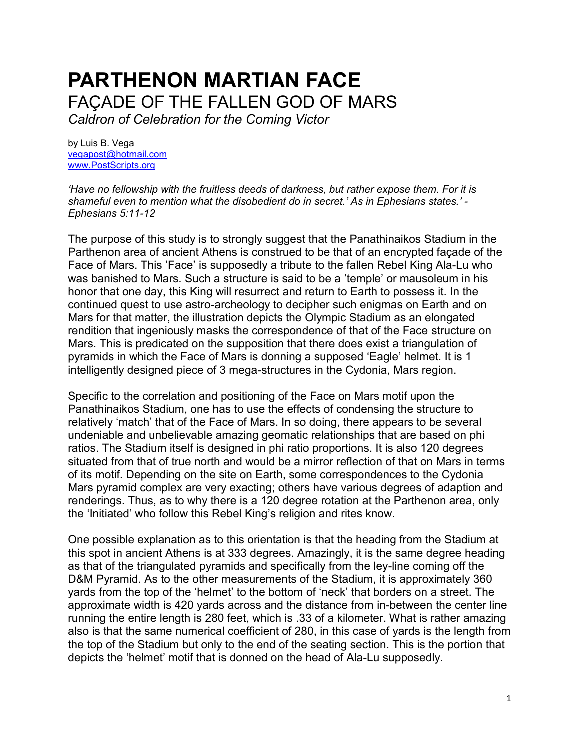## **PARTHENON MARTIAN FACE** FAÇADE OF THE FALLEN GOD OF MARS *Caldron of Celebration for the Coming Victor*

by Luis B. Vega [vegapost@hotmail.com](mailto:vegapost@hotmail.com) [www.PostScripts.org](http://www.postscripts.org/)

*'Have no fellowship with the fruitless deeds of darkness, but rather expose them. For it is shameful even to mention what the disobedient do in secret.' As in Ephesians states.' - Ephesians 5:11-12*

The purpose of this study is to strongly suggest that the Panathinaikos Stadium in the Parthenon area of ancient Athens is construed to be that of an encrypted façade of the Face of Mars. This 'Face' is supposedly a tribute to the fallen Rebel King Ala-Lu who was banished to Mars. Such a structure is said to be a 'temple' or mausoleum in his honor that one day, this King will resurrect and return to Earth to possess it. In the continued quest to use astro-archeology to decipher such enigmas on Earth and on Mars for that matter, the illustration depicts the Olympic Stadium as an elongated rendition that ingeniously masks the correspondence of that of the Face structure on Mars. This is predicated on the supposition that there does exist a triangulation of pyramids in which the Face of Mars is donning a supposed 'Eagle' helmet. It is 1 intelligently designed piece of 3 mega-structures in the Cydonia, Mars region.

Specific to the correlation and positioning of the Face on Mars motif upon the Panathinaikos Stadium, one has to use the effects of condensing the structure to relatively 'match' that of the Face of Mars. In so doing, there appears to be several undeniable and unbelievable amazing geomatic relationships that are based on phi ratios. The Stadium itself is designed in phi ratio proportions. It is also 120 degrees situated from that of true north and would be a mirror reflection of that on Mars in terms of its motif. Depending on the site on Earth, some correspondences to the Cydonia Mars pyramid complex are very exacting; others have various degrees of adaption and renderings. Thus, as to why there is a 120 degree rotation at the Parthenon area, only the 'Initiated' who follow this Rebel King's religion and rites know.

One possible explanation as to this orientation is that the heading from the Stadium at this spot in ancient Athens is at 333 degrees. Amazingly, it is the same degree heading as that of the triangulated pyramids and specifically from the ley-line coming off the D&M Pyramid. As to the other measurements of the Stadium, it is approximately 360 yards from the top of the 'helmet' to the bottom of 'neck' that borders on a street. The approximate width is 420 yards across and the distance from in-between the center line running the entire length is 280 feet, which is .33 of a kilometer. What is rather amazing also is that the same numerical coefficient of 280, in this case of yards is the length from the top of the Stadium but only to the end of the seating section. This is the portion that depicts the 'helmet' motif that is donned on the head of Ala-Lu supposedly.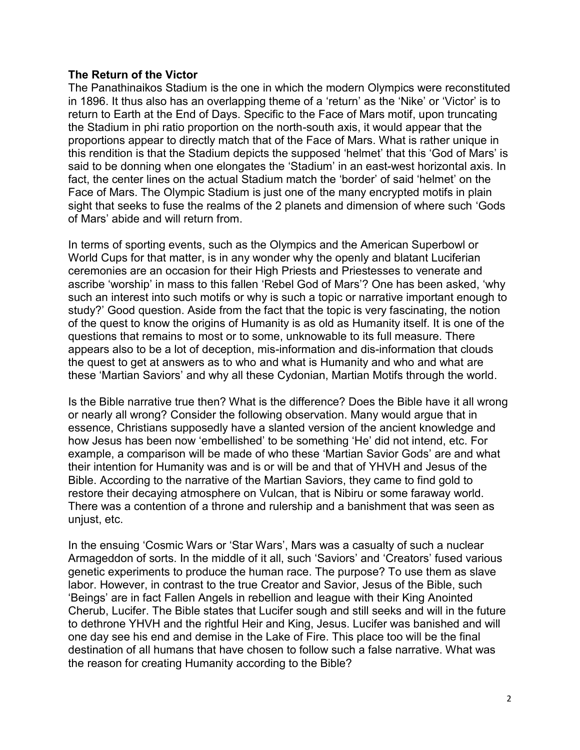## **The Return of the Victor**

The Panathinaikos Stadium is the one in which the modern Olympics were reconstituted in 1896. It thus also has an overlapping theme of a 'return' as the 'Nike' or 'Victor' is to return to Earth at the End of Days. Specific to the Face of Mars motif, upon truncating the Stadium in phi ratio proportion on the north-south axis, it would appear that the proportions appear to directly match that of the Face of Mars. What is rather unique in this rendition is that the Stadium depicts the supposed 'helmet' that this 'God of Mars' is said to be donning when one elongates the 'Stadium' in an east-west horizontal axis. In fact, the center lines on the actual Stadium match the 'border' of said 'helmet' on the Face of Mars. The Olympic Stadium is just one of the many encrypted motifs in plain sight that seeks to fuse the realms of the 2 planets and dimension of where such 'Gods of Mars' abide and will return from.

In terms of sporting events, such as the Olympics and the American Superbowl or World Cups for that matter, is in any wonder why the openly and blatant Luciferian ceremonies are an occasion for their High Priests and Priestesses to venerate and ascribe 'worship' in mass to this fallen 'Rebel God of Mars'? One has been asked, 'why such an interest into such motifs or why is such a topic or narrative important enough to study?' Good question. Aside from the fact that the topic is very fascinating, the notion of the quest to know the origins of Humanity is as old as Humanity itself. It is one of the questions that remains to most or to some, unknowable to its full measure. There appears also to be a lot of deception, mis-information and dis-information that clouds the quest to get at answers as to who and what is Humanity and who and what are these 'Martian Saviors' and why all these Cydonian, Martian Motifs through the world.

Is the Bible narrative true then? What is the difference? Does the Bible have it all wrong or nearly all wrong? Consider the following observation. Many would argue that in essence, Christians supposedly have a slanted version of the ancient knowledge and how Jesus has been now 'embellished' to be something 'He' did not intend, etc. For example, a comparison will be made of who these 'Martian Savior Gods' are and what their intention for Humanity was and is or will be and that of YHVH and Jesus of the Bible. According to the narrative of the Martian Saviors, they came to find gold to restore their decaying atmosphere on Vulcan, that is Nibiru or some faraway world. There was a contention of a throne and rulership and a banishment that was seen as unjust, etc.

In the ensuing 'Cosmic Wars or 'Star Wars', Mars was a casualty of such a nuclear Armageddon of sorts. In the middle of it all, such 'Saviors' and 'Creators' fused various genetic experiments to produce the human race. The purpose? To use them as slave labor. However, in contrast to the true Creator and Savior, Jesus of the Bible, such 'Beings' are in fact Fallen Angels in rebellion and league with their King Anointed Cherub, Lucifer. The Bible states that Lucifer sough and still seeks and will in the future to dethrone YHVH and the rightful Heir and King, Jesus. Lucifer was banished and will one day see his end and demise in the Lake of Fire. This place too will be the final destination of all humans that have chosen to follow such a false narrative. What was the reason for creating Humanity according to the Bible?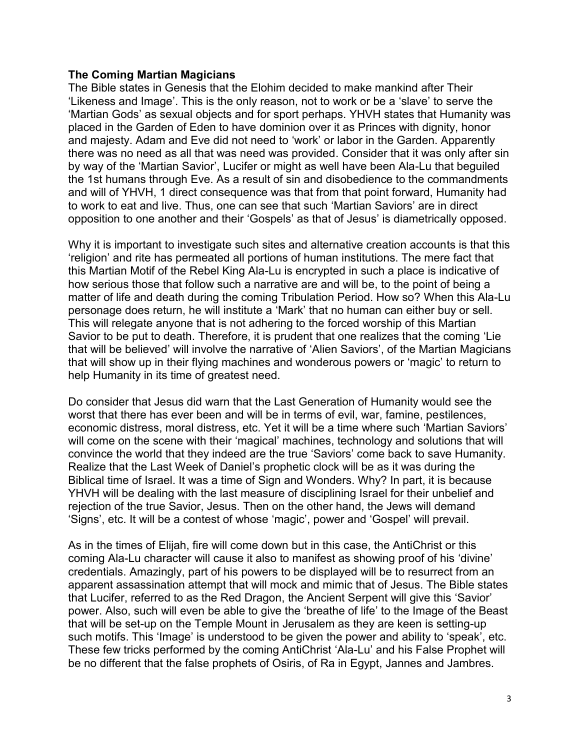## **The Coming Martian Magicians**

The Bible states in Genesis that the Elohim decided to make mankind after Their 'Likeness and Image'. This is the only reason, not to work or be a 'slave' to serve the 'Martian Gods' as sexual objects and for sport perhaps. YHVH states that Humanity was placed in the Garden of Eden to have dominion over it as Princes with dignity, honor and majesty. Adam and Eve did not need to 'work' or labor in the Garden. Apparently there was no need as all that was need was provided. Consider that it was only after sin by way of the 'Martian Savior', Lucifer or might as well have been Ala-Lu that beguiled the 1st humans through Eve. As a result of sin and disobedience to the commandments and will of YHVH, 1 direct consequence was that from that point forward, Humanity had to work to eat and live. Thus, one can see that such 'Martian Saviors' are in direct opposition to one another and their 'Gospels' as that of Jesus' is diametrically opposed.

Why it is important to investigate such sites and alternative creation accounts is that this 'religion' and rite has permeated all portions of human institutions. The mere fact that this Martian Motif of the Rebel King Ala-Lu is encrypted in such a place is indicative of how serious those that follow such a narrative are and will be, to the point of being a matter of life and death during the coming Tribulation Period. How so? When this Ala-Lu personage does return, he will institute a 'Mark' that no human can either buy or sell. This will relegate anyone that is not adhering to the forced worship of this Martian Savior to be put to death. Therefore, it is prudent that one realizes that the coming 'Lie that will be believed' will involve the narrative of 'Alien Saviors', of the Martian Magicians that will show up in their flying machines and wonderous powers or 'magic' to return to help Humanity in its time of greatest need.

Do consider that Jesus did warn that the Last Generation of Humanity would see the worst that there has ever been and will be in terms of evil, war, famine, pestilences, economic distress, moral distress, etc. Yet it will be a time where such 'Martian Saviors' will come on the scene with their 'magical' machines, technology and solutions that will convince the world that they indeed are the true 'Saviors' come back to save Humanity. Realize that the Last Week of Daniel's prophetic clock will be as it was during the Biblical time of Israel. It was a time of Sign and Wonders. Why? In part, it is because YHVH will be dealing with the last measure of disciplining Israel for their unbelief and rejection of the true Savior, Jesus. Then on the other hand, the Jews will demand 'Signs', etc. It will be a contest of whose 'magic', power and 'Gospel' will prevail.

As in the times of Elijah, fire will come down but in this case, the AntiChrist or this coming Ala-Lu character will cause it also to manifest as showing proof of his 'divine' credentials. Amazingly, part of his powers to be displayed will be to resurrect from an apparent assassination attempt that will mock and mimic that of Jesus. The Bible states that Lucifer, referred to as the Red Dragon, the Ancient Serpent will give this 'Savior' power. Also, such will even be able to give the 'breathe of life' to the Image of the Beast that will be set-up on the Temple Mount in Jerusalem as they are keen is setting-up such motifs. This 'Image' is understood to be given the power and ability to 'speak', etc. These few tricks performed by the coming AntiChrist 'Ala-Lu' and his False Prophet will be no different that the false prophets of Osiris, of Ra in Egypt, Jannes and Jambres.